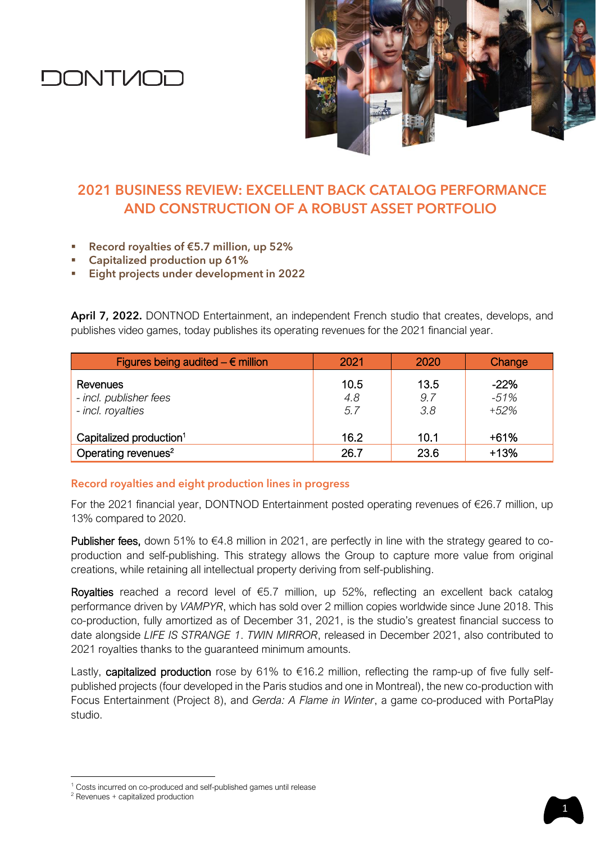# **DONTVIOD**



## **2021 BUSINESS REVIEW: EXCELLENT BACK CATALOG PERFORMANCE AND CONSTRUCTION OF A ROBUST ASSET PORTFOLIO**

- Record royalties of  $E$ 5.7 million, up 52%
- Capitalized production up 61%
- Eight projects under development in 2022

**April 7, 2022.** DONTNOD Entertainment, an independent French studio that creates, develops, and publishes video games, today publishes its operating revenues for the 2021 financial year.

| Figures being audited $- \epsilon$ million              | 2021               | 2020               | Change                     |
|---------------------------------------------------------|--------------------|--------------------|----------------------------|
| Revenues<br>- incl. publisher fees<br>- incl. royalties | 10.5<br>4.8<br>5.7 | 13.5<br>9.7<br>3.8 | $-22%$<br>$-51%$<br>$+52%$ |
| Capitalized production <sup>1</sup>                     | 16.2               | 10.1               | $+61%$                     |
| Operating revenues <sup>2</sup>                         | 26.7               | 23.6               | $+13%$                     |

### **Record royalties and eight production lines in progress**

For the 2021 financial year, DONTNOD Entertainment posted operating revenues of €26.7 million, up 13% compared to 2020.

Publisher fees, down 51% to €4.8 million in 2021, are perfectly in line with the strategy geared to coproduction and self-publishing. This strategy allows the Group to capture more value from original creations, while retaining all intellectual property deriving from self-publishing.

Royalties reached a record level of  $\epsilon$ 5.7 million, up 52%, reflecting an excellent back catalog performance driven by *VAMPYR*, which has sold over 2 million copies worldwide since June 2018. This co-production, fully amortized as of December 31, 2021, is the studio's greatest financial success to date alongside *LIFE IS STRANGE 1*. *TWIN MIRROR*, released in December 2021, also contributed to 2021 royalties thanks to the guaranteed minimum amounts.

Lastly, capitalized production rose by 61% to €16.2 million, reflecting the ramp-up of five fully selfpublished projects (four developed in the Paris studios and one in Montreal), the new co-production with Focus Entertainment (Project 8), and *Gerda: A Flame in Winter*, a game co-produced with PortaPlay studio.

<sup>&</sup>lt;sup>1</sup> Costs incurred on co-produced and self-published games until release

<sup>2</sup> Revenues + capitalized production